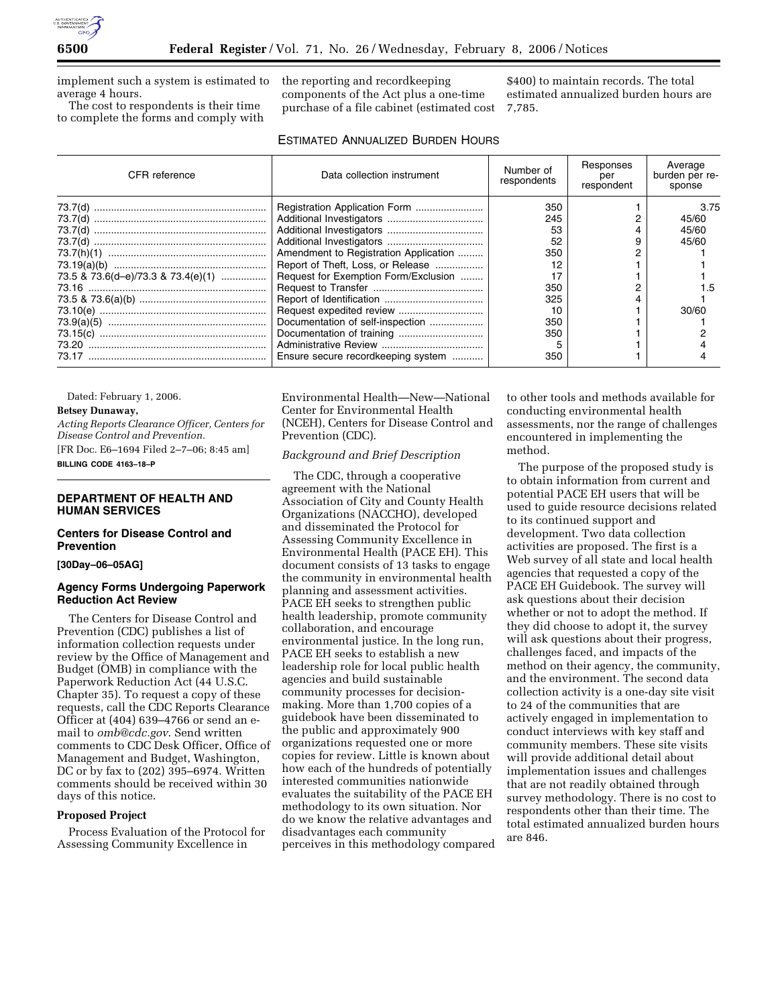

implement such a system is estimated to average 4 hours.

The cost to respondents is their time to complete the forms and comply with the reporting and recordkeeping components of the Act plus a one-time purchase of a file cabinet (estimated cost

\$400) to maintain records. The total estimated annualized burden hours are 7,785.

## ESTIMATED ANNUALIZED BURDEN HOURS

| <b>CFR</b> reference               | Data collection instrument            | Number of<br>respondents | Responses<br>per<br>respondent | Average<br>burden per re-<br>sponse |
|------------------------------------|---------------------------------------|--------------------------|--------------------------------|-------------------------------------|
|                                    |                                       | 350                      |                                | 3.75                                |
|                                    |                                       | 245                      |                                | 45/60                               |
|                                    |                                       | 53                       |                                | 45/60                               |
|                                    |                                       | 52                       |                                | 45/60                               |
|                                    | Amendment to Registration Application | 350                      |                                |                                     |
|                                    | Report of Theft, Loss, or Release     | 12                       |                                |                                     |
| 73.5 & 73.6(d-e)/73.3 & 73.4(e)(1) | Request for Exemption Form/Exclusion  | 17                       |                                |                                     |
|                                    |                                       | 350                      |                                |                                     |
|                                    |                                       | 325                      |                                |                                     |
|                                    |                                       | 10                       |                                | 30/60                               |
|                                    | Documentation of self-inspection      | 350                      |                                |                                     |
|                                    | Documentation of training             | 350                      |                                |                                     |
|                                    |                                       |                          |                                |                                     |
|                                    | Ensure secure recordkeeping system    | 350                      |                                |                                     |

Dated: February 1, 2006.

# **Betsey Dunaway,**

*Acting Reports Clearance Officer, Centers for Disease Control and Prevention.*  [FR Doc. E6–1694 Filed 2–7–06; 8:45 am]

**BILLING CODE 4163–18–P** 

## **DEPARTMENT OF HEALTH AND HUMAN SERVICES**

## **Centers for Disease Control and Prevention**

**[30Day–06–05AG]** 

## **Agency Forms Undergoing Paperwork Reduction Act Review**

The Centers for Disease Control and Prevention (CDC) publishes a list of information collection requests under review by the Office of Management and Budget (OMB) in compliance with the Paperwork Reduction Act (44 U.S.C. Chapter 35). To request a copy of these requests, call the CDC Reports Clearance Officer at (404) 639–4766 or send an email to *omb@cdc.gov*. Send written comments to CDC Desk Officer, Office of Management and Budget, Washington, DC or by fax to (202) 395–6974. Written comments should be received within 30 days of this notice.

# **Proposed Project**

Process Evaluation of the Protocol for Assessing Community Excellence in

Environmental Health—New—National Center for Environmental Health (NCEH), Centers for Disease Control and Prevention (CDC).

### *Background and Brief Description*

The CDC, through a cooperative agreement with the National Association of City and County Health Organizations (NACCHO), developed and disseminated the Protocol for Assessing Community Excellence in Environmental Health (PACE EH). This document consists of 13 tasks to engage the community in environmental health planning and assessment activities. PACE EH seeks to strengthen public health leadership, promote community collaboration, and encourage environmental justice. In the long run, PACE EH seeks to establish a new leadership role for local public health agencies and build sustainable community processes for decisionmaking. More than 1,700 copies of a guidebook have been disseminated to the public and approximately 900 organizations requested one or more copies for review. Little is known about how each of the hundreds of potentially interested communities nationwide evaluates the suitability of the PACE EH methodology to its own situation. Nor do we know the relative advantages and disadvantages each community perceives in this methodology compared

to other tools and methods available for conducting environmental health assessments, nor the range of challenges encountered in implementing the method.

The purpose of the proposed study is to obtain information from current and potential PACE EH users that will be used to guide resource decisions related to its continued support and development. Two data collection activities are proposed. The first is a Web survey of all state and local health agencies that requested a copy of the PACE EH Guidebook. The survey will ask questions about their decision whether or not to adopt the method. If they did choose to adopt it, the survey will ask questions about their progress, challenges faced, and impacts of the method on their agency, the community, and the environment. The second data collection activity is a one-day site visit to 24 of the communities that are actively engaged in implementation to conduct interviews with key staff and community members. These site visits will provide additional detail about implementation issues and challenges that are not readily obtained through survey methodology. There is no cost to respondents other than their time. The total estimated annualized burden hours are 846.